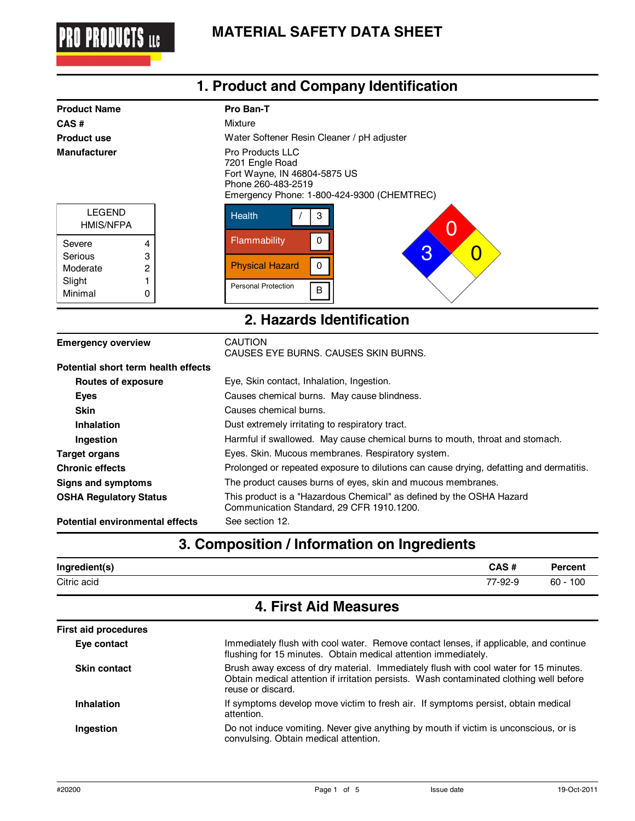

| 1. Product and Company Identification |                                                                                                                                                |  |  |
|---------------------------------------|------------------------------------------------------------------------------------------------------------------------------------------------|--|--|
| <b>Product Name</b>                   | Pro Ban-T                                                                                                                                      |  |  |
| CAS#                                  | Mixture                                                                                                                                        |  |  |
| <b>Product use</b>                    | Water Softener Resin Cleaner / pH adjuster                                                                                                     |  |  |
| <b>Manufacturer</b>                   | <b>Pro Products LLC</b><br>7201 Engle Road<br>Fort Wayne, IN 46804-5875 US<br>Phone 260-483-2519<br>Emergency Phone: 1-800-424-9300 (CHEMTREC) |  |  |
| <b>LEGEND</b><br><b>HMIS/NFPA</b>     | <b>Health</b><br>3<br>( )                                                                                                                      |  |  |
| Severe<br>4                           | Flammability<br>0                                                                                                                              |  |  |
| 3<br>Serious                          | 3<br>Ő                                                                                                                                         |  |  |
| 2<br>Moderate                         | <b>Physical Hazard</b><br>$\mathbf 0$                                                                                                          |  |  |
| Slight<br>Minimal<br>0                | <b>Personal Protection</b><br>$\sf B$                                                                                                          |  |  |
|                                       | 2. Hazards Identification                                                                                                                      |  |  |
| <b>Emergency overview</b>             | <b>CAUTION</b><br>CAUSES EYE BURNS, CAUSES SKIN BURNS.                                                                                         |  |  |
| Potential short term health effects   |                                                                                                                                                |  |  |
| <b>Routes of exposure</b>             | Eye, Skin contact, Inhalation, Ingestion.                                                                                                      |  |  |
| <b>Eyes</b>                           | Causes chemical burns. May cause blindness.                                                                                                    |  |  |
| <b>Skin</b>                           | Causes chemical burns.                                                                                                                         |  |  |
| Inhalation                            | Dust extremely irritating to respiratory tract.                                                                                                |  |  |
| Ingestion                             | Harmful if swallowed. May cause chemical burns to mouth, throat and stomach.                                                                   |  |  |
| <b>Target organs</b>                  | Eyes. Skin. Mucous membranes. Respiratory system.                                                                                              |  |  |
| <b>Chronic effects</b>                | Prolonged or repeated exposure to dilutions can cause drying, defatting and dermatitis.                                                        |  |  |

**Signs and symptoms** The product causes burns of eyes, skin and mucous membranes.

| <b>OSHA Regulatory Status</b> | This product is a "Hazardous Chemical" as defined by the OSHA Hazard |
|-------------------------------|----------------------------------------------------------------------|
|                               | Communication Standard, 29 CFR 1910.1200.                            |

**Potential environmental effects** See section 12.

# **3. Composition / Information on Ingredients**

| Ingredient(s) | CAS#    | <b>Percent</b> |
|---------------|---------|----------------|
| Citric acid   | 77-92-9 | $60 - 100$     |

# **4. First Aid Measures**

| <b>First aid procedures</b> |                                                                                                                                                                                                      |
|-----------------------------|------------------------------------------------------------------------------------------------------------------------------------------------------------------------------------------------------|
| Eye contact                 | Immediately flush with cool water. Remove contact lenses, if applicable, and continue<br>flushing for 15 minutes. Obtain medical attention immediately.                                              |
| <b>Skin contact</b>         | Brush away excess of dry material. Immediately flush with cool water for 15 minutes.<br>Obtain medical attention if irritation persists. Wash contaminated clothing well before<br>reuse or discard. |
| Inhalation                  | If symptoms develop move victim to fresh air. If symptoms persist, obtain medical<br>attention.                                                                                                      |
| Ingestion                   | Do not induce vomiting. Never give anything by mouth if victim is unconscious, or is<br>convulsing. Obtain medical attention.                                                                        |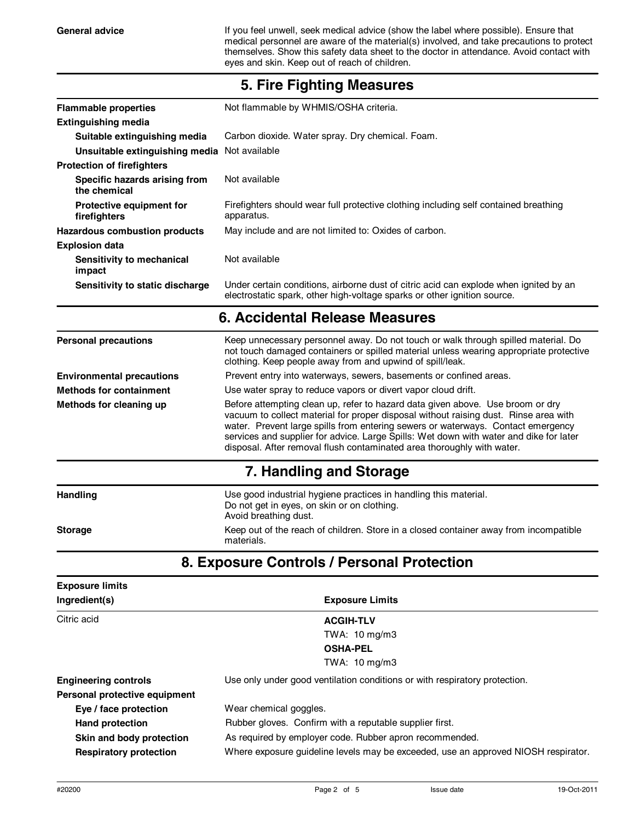General advice **If you feel unwell, seek medical advice (show the label where possible). Ensure that** medical personnel are aware of the material(s) involved, and take precautions to protect themselves. Show this safety data sheet to the doctor in attendance. Avoid contact with eyes and skin. Keep out of reach of children.

| <b>Flammable properties</b>                   | Not flammable by WHMIS/OSHA criteria.                                                                                                                                                                                                                                                                                                                                                                                          |  |
|-----------------------------------------------|--------------------------------------------------------------------------------------------------------------------------------------------------------------------------------------------------------------------------------------------------------------------------------------------------------------------------------------------------------------------------------------------------------------------------------|--|
| <b>Extinguishing media</b>                    |                                                                                                                                                                                                                                                                                                                                                                                                                                |  |
| Suitable extinguishing media                  | Carbon dioxide. Water spray. Dry chemical. Foam.                                                                                                                                                                                                                                                                                                                                                                               |  |
| Unsuitable extinguishing media Not available  |                                                                                                                                                                                                                                                                                                                                                                                                                                |  |
| <b>Protection of firefighters</b>             |                                                                                                                                                                                                                                                                                                                                                                                                                                |  |
| Specific hazards arising from<br>the chemical | Not available                                                                                                                                                                                                                                                                                                                                                                                                                  |  |
| Protective equipment for<br>firefighters      | Firefighters should wear full protective clothing including self contained breathing<br>apparatus.                                                                                                                                                                                                                                                                                                                             |  |
| <b>Hazardous combustion products</b>          | May include and are not limited to: Oxides of carbon.                                                                                                                                                                                                                                                                                                                                                                          |  |
| <b>Explosion data</b>                         |                                                                                                                                                                                                                                                                                                                                                                                                                                |  |
| Sensitivity to mechanical<br>impact           | Not available                                                                                                                                                                                                                                                                                                                                                                                                                  |  |
| Sensitivity to static discharge               | Under certain conditions, airborne dust of citric acid can explode when ignited by an<br>electrostatic spark, other high-voltage sparks or other ignition source.                                                                                                                                                                                                                                                              |  |
|                                               | 6. Accidental Release Measures                                                                                                                                                                                                                                                                                                                                                                                                 |  |
| <b>Personal precautions</b>                   | Keep unnecessary personnel away. Do not touch or walk through spilled material. Do<br>not touch damaged containers or spilled material unless wearing appropriate protective<br>clothing. Keep people away from and upwind of spill/leak.                                                                                                                                                                                      |  |
| <b>Environmental precautions</b>              | Prevent entry into waterways, sewers, basements or confined areas.                                                                                                                                                                                                                                                                                                                                                             |  |
| <b>Methods for containment</b>                | Use water spray to reduce vapors or divert vapor cloud drift.                                                                                                                                                                                                                                                                                                                                                                  |  |
| Methods for cleaning up                       | Before attempting clean up, refer to hazard data given above. Use broom or dry<br>vacuum to collect material for proper disposal without raising dust. Rinse area with<br>water. Prevent large spills from entering sewers or waterways. Contact emergency<br>services and supplier for advice. Large Spills: Wet down with water and dike for later<br>disposal. After removal flush contaminated area thoroughly with water. |  |
|                                               | 7. Handling and Storage                                                                                                                                                                                                                                                                                                                                                                                                        |  |
| Handling                                      | Use good industrial hygiene practices in handling this material.<br>Do not get in eyes, on skin or on clothing.<br>Avoid breathing dust.                                                                                                                                                                                                                                                                                       |  |
| <b>Storage</b>                                | Keep out of the reach of children. Store in a closed container away from incompatible<br>materials.                                                                                                                                                                                                                                                                                                                            |  |
|                                               | 8. Exposure Controls / Personal Protection                                                                                                                                                                                                                                                                                                                                                                                     |  |
| <b>Exposure limits</b>                        |                                                                                                                                                                                                                                                                                                                                                                                                                                |  |
| Ingredient(s)                                 | <b>Exposure Limits</b>                                                                                                                                                                                                                                                                                                                                                                                                         |  |
| Citric acid                                   | <b>ACGIH-TLV</b>                                                                                                                                                                                                                                                                                                                                                                                                               |  |
|                                               | TWA: 10 mg/m3                                                                                                                                                                                                                                                                                                                                                                                                                  |  |
|                                               | <b>OSHA-PEL</b>                                                                                                                                                                                                                                                                                                                                                                                                                |  |

#### **5. Fire Fighting Measures**

**Engineering controls** Use only under good ventilation conditions or with respiratory protection.

TWA: 10 mg/m3

**Eye / face protection Personal protective equipment**

Wear chemical goggles. Hand protection **Rubber gloves.** Confirm with a reputable supplier first.

**Skin and body protection** As required by employer code. Rubber apron recommended.

**Respiratory protection** Where exposure guideline levels may be exceeded, use an approved NIOSH respirator.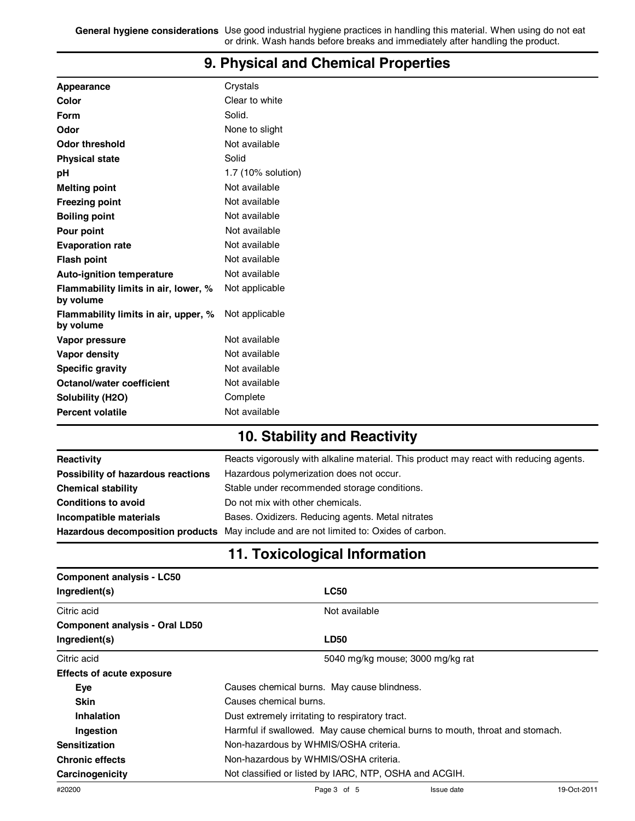**General hygiene considerations** Use good industrial hygiene practices in handling this material. When using do not eat or drink. Wash hands before breaks and immediately after handling the product.

| Appearance                                        | Crystals           |
|---------------------------------------------------|--------------------|
| Color                                             | Clear to white     |
| <b>Form</b>                                       | Solid.             |
| Odor                                              | None to slight     |
| <b>Odor threshold</b>                             | Not available      |
| <b>Physical state</b>                             | Solid              |
| pH                                                | 1.7 (10% solution) |
| <b>Melting point</b>                              | Not available      |
| <b>Freezing point</b>                             | Not available      |
| <b>Boiling point</b>                              | Not available      |
| Pour point                                        | Not available      |
| <b>Evaporation rate</b>                           | Not available      |
| <b>Flash point</b>                                | Not available      |
| <b>Auto-ignition temperature</b>                  | Not available      |
| Flammability limits in air, lower, %<br>by volume | Not applicable     |
| Flammability limits in air, upper, %<br>by volume | Not applicable     |
| Vapor pressure                                    | Not available      |
| Vapor density                                     | Not available      |
| <b>Specific gravity</b>                           | Not available      |
| <b>Octanol/water coefficient</b>                  | Not available      |
| Solubility (H2O)                                  | Complete           |
| <b>Percent volatile</b>                           | Not available      |

### **9. Physical and Chemical Properties**

## **10. Stability and Reactivity**

| Reactivity                         | Reacts vigorously with alkaline material. This product may react with reducing agents. |
|------------------------------------|----------------------------------------------------------------------------------------|
| Possibility of hazardous reactions | Hazardous polymerization does not occur.                                               |
| <b>Chemical stability</b>          | Stable under recommended storage conditions.                                           |
| <b>Conditions to avoid</b>         | Do not mix with other chemicals.                                                       |
| Incompatible materials             | Bases. Oxidizers. Reducing agents. Metal nitrates                                      |
|                                    | Hazardous decomposition products May include and are not limited to: Oxides of carbon. |

# **11. Toxicological Information**

| <b>Component analysis - LC50</b>      |                                                        |               |                                                                              |             |
|---------------------------------------|--------------------------------------------------------|---------------|------------------------------------------------------------------------------|-------------|
| Ingredient(s)                         |                                                        | <b>LC50</b>   |                                                                              |             |
| Citric acid                           |                                                        | Not available |                                                                              |             |
| <b>Component analysis - Oral LD50</b> |                                                        |               |                                                                              |             |
| Ingredient(s)                         |                                                        | <b>LD50</b>   |                                                                              |             |
| Citric acid                           |                                                        |               | 5040 mg/kg mouse; 3000 mg/kg rat                                             |             |
| <b>Effects of acute exposure</b>      |                                                        |               |                                                                              |             |
| Eye                                   | Causes chemical burns. May cause blindness.            |               |                                                                              |             |
| <b>Skin</b>                           | Causes chemical burns.                                 |               |                                                                              |             |
| Inhalation                            | Dust extremely irritating to respiratory tract.        |               |                                                                              |             |
| Ingestion                             |                                                        |               | Harmful if swallowed. May cause chemical burns to mouth, throat and stomach. |             |
| <b>Sensitization</b>                  | Non-hazardous by WHMIS/OSHA criteria.                  |               |                                                                              |             |
| <b>Chronic effects</b>                | Non-hazardous by WHMIS/OSHA criteria.                  |               |                                                                              |             |
| Carcinogenicity                       | Not classified or listed by IARC, NTP, OSHA and ACGIH. |               |                                                                              |             |
| #20200                                |                                                        | Page 3 of 5   | Issue date                                                                   | 19-Oct-2011 |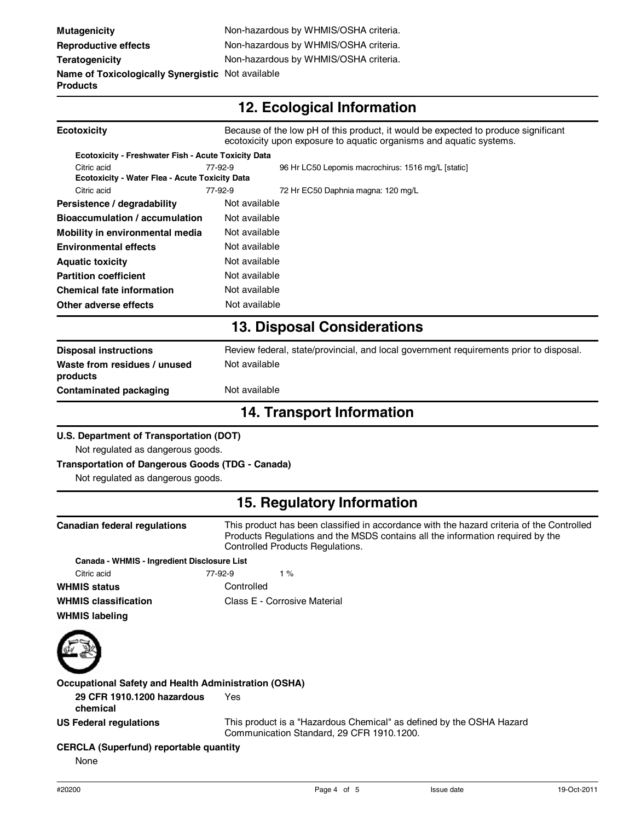# **12. Ecological Information**

| <b>Ecotoxicity</b>                                            | Because of the low pH of this product, it would be expected to produce significant<br>ecotoxicity upon exposure to aquatic organisms and aquatic systems. |                                                    |  |
|---------------------------------------------------------------|-----------------------------------------------------------------------------------------------------------------------------------------------------------|----------------------------------------------------|--|
| Ecotoxicity - Freshwater Fish - Acute Toxicity Data           |                                                                                                                                                           |                                                    |  |
| Citric acid<br>Ecotoxicity - Water Flea - Acute Toxicity Data | 77-92-9                                                                                                                                                   | 96 Hr LC50 Lepomis macrochirus: 1516 mg/L [static] |  |
| Citric acid                                                   | 77-92-9                                                                                                                                                   | 72 Hr EC50 Daphnia magna: 120 mg/L                 |  |
| Persistence / degradability                                   | Not available                                                                                                                                             |                                                    |  |
| Bioaccumulation / accumulation                                | Not available                                                                                                                                             |                                                    |  |
| Mobility in environmental media                               | Not available                                                                                                                                             |                                                    |  |
| <b>Environmental effects</b>                                  | Not available                                                                                                                                             |                                                    |  |
| <b>Aquatic toxicity</b>                                       | Not available                                                                                                                                             |                                                    |  |
| <b>Partition coefficient</b>                                  | Not available                                                                                                                                             |                                                    |  |
| <b>Chemical fate information</b>                              | Not available                                                                                                                                             |                                                    |  |
| Other adverse effects                                         | Not available                                                                                                                                             |                                                    |  |
|                                                               |                                                                                                                                                           | <b>13. Disposal Considerations</b>                 |  |
| <b>Disposal instructions</b>                                  | Review federal, state/provincial, and local government requirements prior to disposal.                                                                    |                                                    |  |
| Waste from residues / unused<br>products                      | Not available                                                                                                                                             |                                                    |  |
| <b>Contaminated packaging</b>                                 | Not available                                                                                                                                             |                                                    |  |
| <b>14. Transport Information</b>                              |                                                                                                                                                           |                                                    |  |
| U.S. Department of Transportation (DOT)                       |                                                                                                                                                           |                                                    |  |
| Not regulated as dangerous goods.                             |                                                                                                                                                           |                                                    |  |
| <b>Transportation of Dangerous Goods (TDG - Canada)</b>       |                                                                                                                                                           |                                                    |  |
| Not regulated as dangerous goods.                             |                                                                                                                                                           |                                                    |  |

### **15. Regulatory Information**

| Canadian federal regulations                         | This product has been classified in accordance with the hazard criteria of the Controlled<br>Products Regulations and the MSDS contains all the information reguired by the<br>Controlled Products Regulations. |  |
|------------------------------------------------------|-----------------------------------------------------------------------------------------------------------------------------------------------------------------------------------------------------------------|--|
| Canada - WHMIS - Ingredient Disclosure List          |                                                                                                                                                                                                                 |  |
| Citric acid                                          | 77-92-9<br>1 $%$                                                                                                                                                                                                |  |
| <b>WHMIS status</b>                                  | Controlled                                                                                                                                                                                                      |  |
| <b>WHMIS classification</b><br><b>WHMIS labeling</b> | Class E - Corrosive Material                                                                                                                                                                                    |  |



**Occupational Safety and Health Administration (OSHA)**

**29 CFR 1910.1200 hazardous chemical** Yes

**US Federal regulations** This product is a "Hazardous Chemical" as defined by the OSHA Hazard Communication Standard, 29 CFR 1910.1200.

**CERCLA (Superfund) reportable quantity**

None